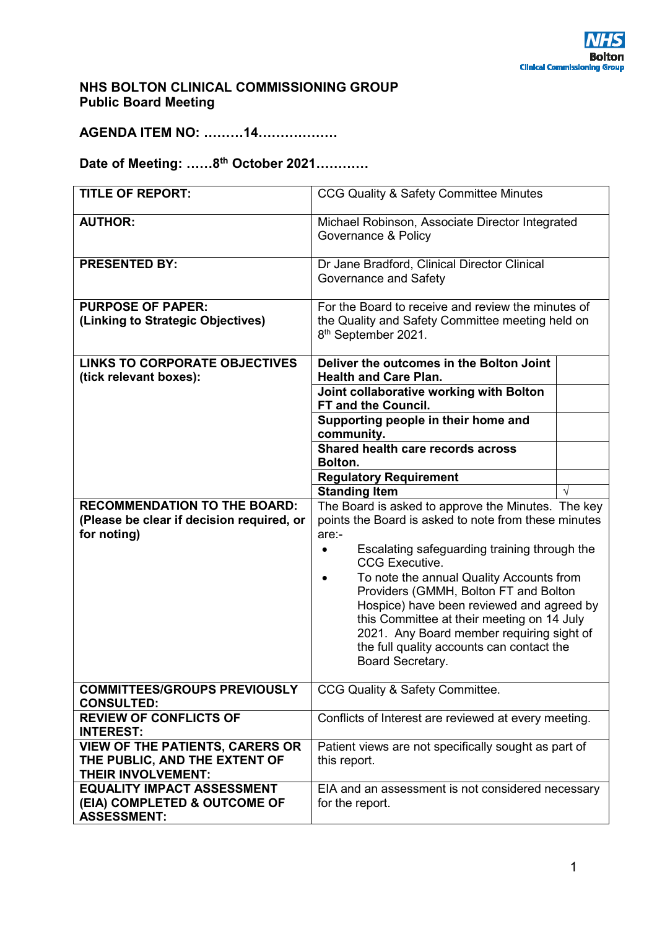### **NHS BOLTON CLINICAL COMMISSIONING GROUP Public Board Meeting**

**AGENDA ITEM NO: ………14………………** 

# **Date of Meeting: ……8th October 2021…………**

| <b>TITLE OF REPORT:</b>                                                                         | CCG Quality & Safety Committee Minutes                                                                                                                                                                                                                                                                                                                                                                                                                                                     |  |
|-------------------------------------------------------------------------------------------------|--------------------------------------------------------------------------------------------------------------------------------------------------------------------------------------------------------------------------------------------------------------------------------------------------------------------------------------------------------------------------------------------------------------------------------------------------------------------------------------------|--|
| <b>AUTHOR:</b>                                                                                  | Michael Robinson, Associate Director Integrated<br>Governance & Policy                                                                                                                                                                                                                                                                                                                                                                                                                     |  |
| <b>PRESENTED BY:</b>                                                                            | Dr Jane Bradford, Clinical Director Clinical<br>Governance and Safety                                                                                                                                                                                                                                                                                                                                                                                                                      |  |
| <b>PURPOSE OF PAPER:</b><br>(Linking to Strategic Objectives)                                   | For the Board to receive and review the minutes of<br>the Quality and Safety Committee meeting held on<br>8 <sup>th</sup> September 2021.                                                                                                                                                                                                                                                                                                                                                  |  |
| <b>LINKS TO CORPORATE OBJECTIVES</b><br>(tick relevant boxes):                                  | Deliver the outcomes in the Bolton Joint<br><b>Health and Care Plan.</b>                                                                                                                                                                                                                                                                                                                                                                                                                   |  |
|                                                                                                 | Joint collaborative working with Bolton<br>FT and the Council.                                                                                                                                                                                                                                                                                                                                                                                                                             |  |
|                                                                                                 | Supporting people in their home and<br>community.                                                                                                                                                                                                                                                                                                                                                                                                                                          |  |
|                                                                                                 | Shared health care records across<br>Bolton.                                                                                                                                                                                                                                                                                                                                                                                                                                               |  |
|                                                                                                 | <b>Regulatory Requirement</b>                                                                                                                                                                                                                                                                                                                                                                                                                                                              |  |
|                                                                                                 | <b>Standing Item</b>                                                                                                                                                                                                                                                                                                                                                                                                                                                                       |  |
| <b>RECOMMENDATION TO THE BOARD:</b><br>(Please be clear if decision required, or<br>for noting) | The Board is asked to approve the Minutes. The key<br>points the Board is asked to note from these minutes<br>are:-<br>Escalating safeguarding training through the<br><b>CCG Executive.</b><br>To note the annual Quality Accounts from<br>Providers (GMMH, Bolton FT and Bolton<br>Hospice) have been reviewed and agreed by<br>this Committee at their meeting on 14 July<br>2021. Any Board member requiring sight of<br>the full quality accounts can contact the<br>Board Secretary. |  |
| <b>COMMITTEES/GROUPS PREVIOUSLY</b><br><b>CONSULTED:</b>                                        | CCG Quality & Safety Committee.                                                                                                                                                                                                                                                                                                                                                                                                                                                            |  |
| <b>REVIEW OF CONFLICTS OF</b><br><b>INTEREST:</b>                                               | Conflicts of Interest are reviewed at every meeting.                                                                                                                                                                                                                                                                                                                                                                                                                                       |  |
| <b>VIEW OF THE PATIENTS, CARERS OR</b><br>THE PUBLIC, AND THE EXTENT OF<br>THEIR INVOLVEMENT:   | Patient views are not specifically sought as part of<br>this report.                                                                                                                                                                                                                                                                                                                                                                                                                       |  |
| <b>EQUALITY IMPACT ASSESSMENT</b><br>(EIA) COMPLETED & OUTCOME OF<br><b>ASSESSMENT:</b>         | EIA and an assessment is not considered necessary<br>for the report.                                                                                                                                                                                                                                                                                                                                                                                                                       |  |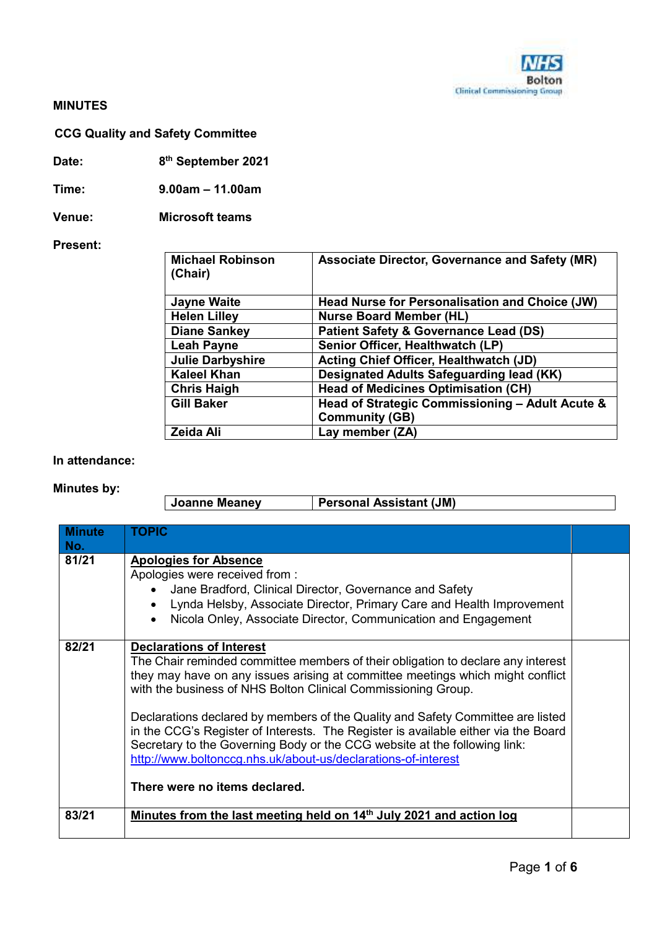### **MINUTES**

## **CCG Quality and Safety Committee**

**Date: 8th September 2021** 

**Time: 9.00am – 11.00am** 

**Venue: Microsoft teams** 

### **Present:**

| <b>Michael Robinson</b><br>(Chair) | <b>Associate Director, Governance and Safety (MR)</b> |
|------------------------------------|-------------------------------------------------------|
| <b>Jayne Waite</b>                 | Head Nurse for Personalisation and Choice (JW)        |
| <b>Helen Lilley</b>                | <b>Nurse Board Member (HL)</b>                        |
| <b>Diane Sankey</b>                | <b>Patient Safety &amp; Governance Lead (DS)</b>      |
| <b>Leah Payne</b>                  | Senior Officer, Healthwatch (LP)                      |
| <b>Julie Darbyshire</b>            | <b>Acting Chief Officer, Healthwatch (JD)</b>         |
| <b>Kaleel Khan</b>                 | Designated Adults Safeguarding lead (KK)              |
| <b>Chris Haigh</b>                 | <b>Head of Medicines Optimisation (CH)</b>            |
| <b>Gill Baker</b>                  | Head of Strategic Commissioning - Adult Acute &       |
|                                    | <b>Community (GB)</b>                                 |
| Zeida Ali                          | Lay member (ZA)                                       |

#### **In attendance:**

### **Minutes by:**

| Joanne Meanev | <b>Personal Assistant (JM)</b> |
|---------------|--------------------------------|
|               |                                |

| <b>Minute</b><br>No. | <b>TOPIC</b>                                                                                                                                                                                                                                                                                                                                                                                                                                                                                                                                                                                                                   |  |
|----------------------|--------------------------------------------------------------------------------------------------------------------------------------------------------------------------------------------------------------------------------------------------------------------------------------------------------------------------------------------------------------------------------------------------------------------------------------------------------------------------------------------------------------------------------------------------------------------------------------------------------------------------------|--|
| 81/21                | <b>Apologies for Absence</b><br>Apologies were received from :<br>Jane Bradford, Clinical Director, Governance and Safety<br>Lynda Helsby, Associate Director, Primary Care and Health Improvement<br>$\bullet$<br>Nicola Onley, Associate Director, Communication and Engagement<br>$\bullet$                                                                                                                                                                                                                                                                                                                                 |  |
| 82/21                | <b>Declarations of Interest</b><br>The Chair reminded committee members of their obligation to declare any interest<br>they may have on any issues arising at committee meetings which might conflict<br>with the business of NHS Bolton Clinical Commissioning Group.<br>Declarations declared by members of the Quality and Safety Committee are listed<br>in the CCG's Register of Interests. The Register is available either via the Board<br>Secretary to the Governing Body or the CCG website at the following link:<br>http://www.boltonccg.nhs.uk/about-us/declarations-of-interest<br>There were no items declared. |  |
| 83/21                | Minutes from the last meeting held on 14 <sup>th</sup> July 2021 and action log                                                                                                                                                                                                                                                                                                                                                                                                                                                                                                                                                |  |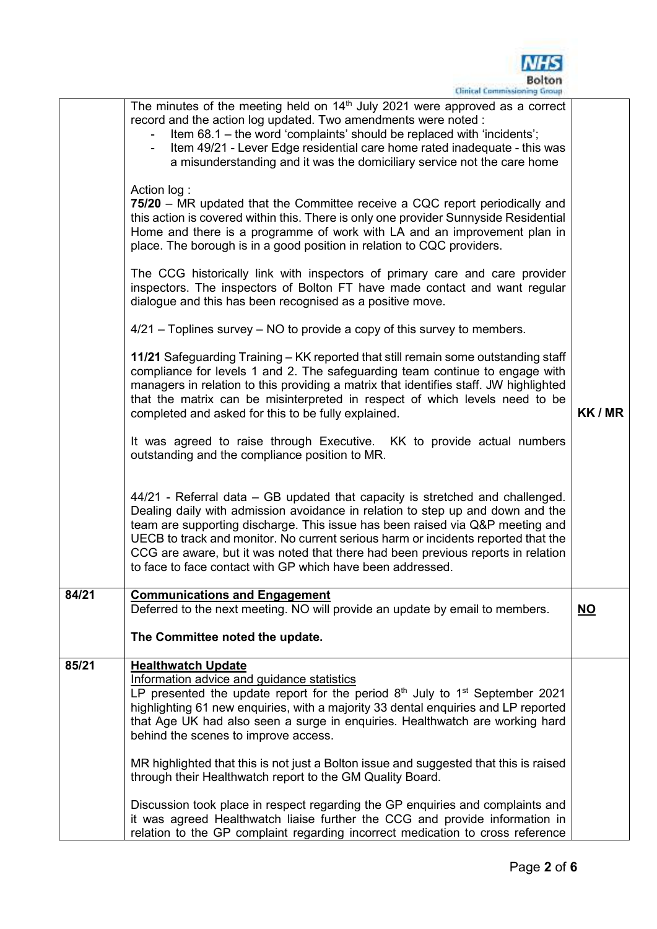|       | Bolton<br>Clinical Commissioning Group                                                                                                                                                                                                                                                                                                                                                                                                                                                  |           |
|-------|-----------------------------------------------------------------------------------------------------------------------------------------------------------------------------------------------------------------------------------------------------------------------------------------------------------------------------------------------------------------------------------------------------------------------------------------------------------------------------------------|-----------|
|       | The minutes of the meeting held on $14th$ July 2021 were approved as a correct<br>record and the action log updated. Two amendments were noted :<br>Item 68.1 - the word 'complaints' should be replaced with 'incidents';<br>Item 49/21 - Lever Edge residential care home rated inadequate - this was<br>a misunderstanding and it was the domiciliary service not the care home                                                                                                      |           |
|       | Action log:<br>75/20 – MR updated that the Committee receive a CQC report periodically and<br>this action is covered within this. There is only one provider Sunnyside Residential<br>Home and there is a programme of work with LA and an improvement plan in<br>place. The borough is in a good position in relation to CQC providers.                                                                                                                                                |           |
|       | The CCG historically link with inspectors of primary care and care provider<br>inspectors. The inspectors of Bolton FT have made contact and want regular<br>dialogue and this has been recognised as a positive move.                                                                                                                                                                                                                                                                  |           |
|       | $4/21$ – Toplines survey – NO to provide a copy of this survey to members.                                                                                                                                                                                                                                                                                                                                                                                                              |           |
|       | 11/21 Safeguarding Training – KK reported that still remain some outstanding staff<br>compliance for levels 1 and 2. The safeguarding team continue to engage with<br>managers in relation to this providing a matrix that identifies staff. JW highlighted<br>that the matrix can be misinterpreted in respect of which levels need to be<br>completed and asked for this to be fully explained.                                                                                       | KK / MR   |
|       | It was agreed to raise through Executive. KK to provide actual numbers<br>outstanding and the compliance position to MR.                                                                                                                                                                                                                                                                                                                                                                |           |
|       | 44/21 - Referral data – GB updated that capacity is stretched and challenged.<br>Dealing daily with admission avoidance in relation to step up and down and the<br>team are supporting discharge. This issue has been raised via Q&P meeting and<br>UECB to track and monitor. No current serious harm or incidents reported that the<br>CCG are aware, but it was noted that there had been previous reports in relation<br>to face to face contact with GP which have been addressed. |           |
| 84/21 | <b>Communications and Engagement</b><br>Deferred to the next meeting. NO will provide an update by email to members.                                                                                                                                                                                                                                                                                                                                                                    | <b>NO</b> |
|       | The Committee noted the update.                                                                                                                                                                                                                                                                                                                                                                                                                                                         |           |
| 85/21 | <b>Healthwatch Update</b><br>Information advice and guidance statistics<br>LP presented the update report for the period $8th$ July to 1 <sup>st</sup> September 2021<br>highlighting 61 new enquiries, with a majority 33 dental enquiries and LP reported<br>that Age UK had also seen a surge in enquiries. Healthwatch are working hard<br>behind the scenes to improve access.                                                                                                     |           |
|       | MR highlighted that this is not just a Bolton issue and suggested that this is raised<br>through their Healthwatch report to the GM Quality Board.                                                                                                                                                                                                                                                                                                                                      |           |
|       | Discussion took place in respect regarding the GP enquiries and complaints and<br>it was agreed Healthwatch liaise further the CCG and provide information in<br>relation to the GP complaint regarding incorrect medication to cross reference                                                                                                                                                                                                                                         |           |

**NHS**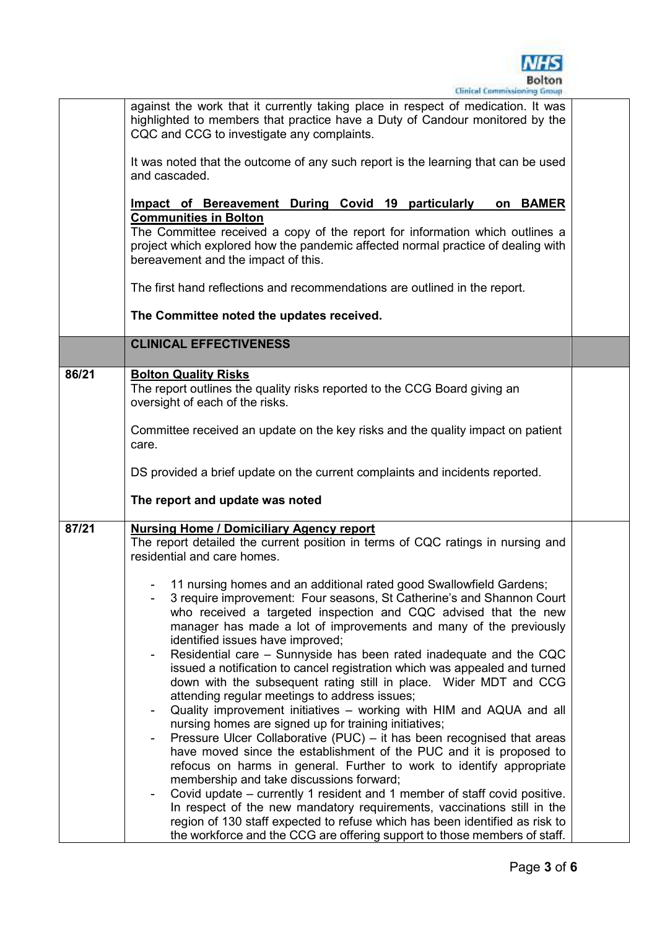

|       | against the work that it currently taking place in respect of medication. It was<br>highlighted to members that practice have a Duty of Candour monitored by the<br>CQC and CCG to investigate any complaints. |  |
|-------|----------------------------------------------------------------------------------------------------------------------------------------------------------------------------------------------------------------|--|
|       | It was noted that the outcome of any such report is the learning that can be used<br>and cascaded.                                                                                                             |  |
|       | Impact of Bereavement During Covid 19 particularly<br>on BAMER<br><b>Communities in Bolton</b>                                                                                                                 |  |
|       | The Committee received a copy of the report for information which outlines a<br>project which explored how the pandemic affected normal practice of dealing with<br>bereavement and the impact of this.        |  |
|       | The first hand reflections and recommendations are outlined in the report.                                                                                                                                     |  |
|       | The Committee noted the updates received.                                                                                                                                                                      |  |
|       | <b>CLINICAL EFFECTIVENESS</b>                                                                                                                                                                                  |  |
| 86/21 | <b>Bolton Quality Risks</b><br>The report outlines the quality risks reported to the CCG Board giving an<br>oversight of each of the risks.                                                                    |  |
|       | Committee received an update on the key risks and the quality impact on patient<br>care.                                                                                                                       |  |
|       | DS provided a brief update on the current complaints and incidents reported.                                                                                                                                   |  |
|       | The report and update was noted                                                                                                                                                                                |  |
| 87/21 | <b>Nursing Home / Domiciliary Agency report</b>                                                                                                                                                                |  |
|       | The report detailed the current position in terms of CQC ratings in nursing and<br>residential and care homes.                                                                                                 |  |
|       | 11 nursing homes and an additional rated good Swallowfield Gardens;                                                                                                                                            |  |
|       | 3 require improvement: Four seasons, St Catherine's and Shannon Court                                                                                                                                          |  |
|       | who received a targeted inspection and CQC advised that the new                                                                                                                                                |  |
|       | manager has made a lot of improvements and many of the previously                                                                                                                                              |  |
|       | identified issues have improved;<br>Residential care - Sunnyside has been rated inadequate and the CQC                                                                                                         |  |
|       | issued a notification to cancel registration which was appealed and turned                                                                                                                                     |  |
|       | down with the subsequent rating still in place. Wider MDT and CCG                                                                                                                                              |  |
|       | attending regular meetings to address issues;<br>Quality improvement initiatives – working with HIM and AQUA and all                                                                                           |  |
|       | nursing homes are signed up for training initiatives;                                                                                                                                                          |  |
|       | Pressure Ulcer Collaborative (PUC) - it has been recognised that areas                                                                                                                                         |  |
|       | have moved since the establishment of the PUC and it is proposed to                                                                                                                                            |  |
|       | refocus on harms in general. Further to work to identify appropriate<br>membership and take discussions forward;                                                                                               |  |
|       | Covid update – currently 1 resident and 1 member of staff covid positive.                                                                                                                                      |  |
|       | In respect of the new mandatory requirements, vaccinations still in the                                                                                                                                        |  |
|       | region of 130 staff expected to refuse which has been identified as risk to<br>the workforce and the CCG are offering support to those members of staff.                                                       |  |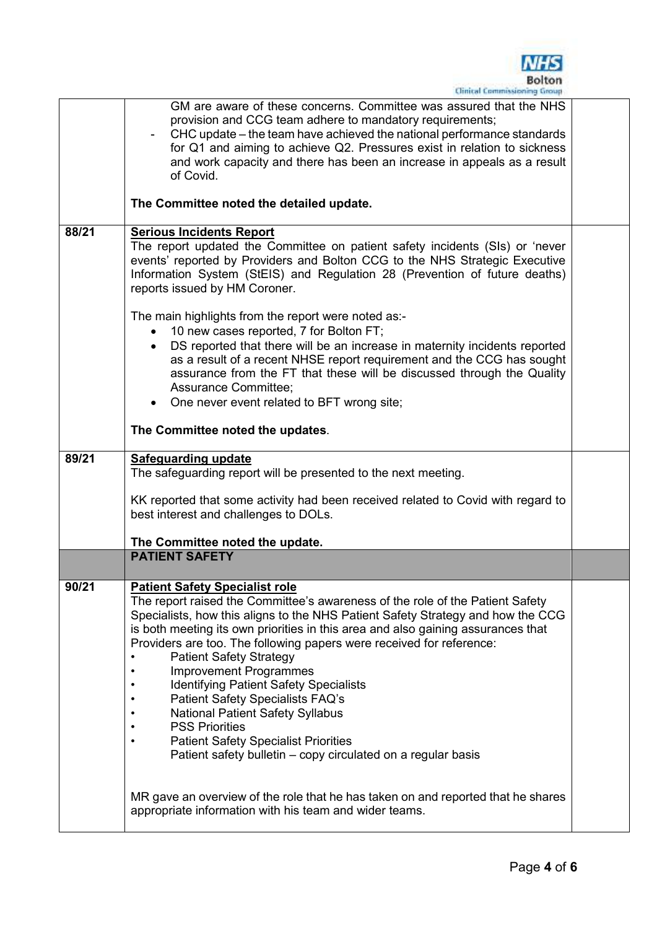

|       | GM are aware of these concerns. Committee was assured that the NHS<br>provision and CCG team adhere to mandatory requirements;<br>CHC update – the team have achieved the national performance standards<br>for Q1 and aiming to achieve Q2. Pressures exist in relation to sickness<br>and work capacity and there has been an increase in appeals as a result<br>of Covid.                                                                                                                                                                                                                                                                                                                                            |  |
|-------|-------------------------------------------------------------------------------------------------------------------------------------------------------------------------------------------------------------------------------------------------------------------------------------------------------------------------------------------------------------------------------------------------------------------------------------------------------------------------------------------------------------------------------------------------------------------------------------------------------------------------------------------------------------------------------------------------------------------------|--|
|       | The Committee noted the detailed update.                                                                                                                                                                                                                                                                                                                                                                                                                                                                                                                                                                                                                                                                                |  |
| 88/21 | <b>Serious Incidents Report</b><br>The report updated the Committee on patient safety incidents (SIs) or 'never<br>events' reported by Providers and Bolton CCG to the NHS Strategic Executive<br>Information System (StEIS) and Regulation 28 (Prevention of future deaths)<br>reports issued by HM Coroner.                                                                                                                                                                                                                                                                                                                                                                                                           |  |
|       | The main highlights from the report were noted as:-<br>• 10 new cases reported, 7 for Bolton FT;<br>DS reported that there will be an increase in maternity incidents reported<br>as a result of a recent NHSE report requirement and the CCG has sought<br>assurance from the FT that these will be discussed through the Quality<br>Assurance Committee;<br>• One never event related to BFT wrong site;<br>The Committee noted the updates.                                                                                                                                                                                                                                                                          |  |
| 89/21 | <b>Safeguarding update</b>                                                                                                                                                                                                                                                                                                                                                                                                                                                                                                                                                                                                                                                                                              |  |
|       | The safeguarding report will be presented to the next meeting.                                                                                                                                                                                                                                                                                                                                                                                                                                                                                                                                                                                                                                                          |  |
|       | KK reported that some activity had been received related to Covid with regard to<br>best interest and challenges to DOLs.                                                                                                                                                                                                                                                                                                                                                                                                                                                                                                                                                                                               |  |
|       | The Committee noted the update.                                                                                                                                                                                                                                                                                                                                                                                                                                                                                                                                                                                                                                                                                         |  |
|       | <b>PATIENT SAFETY</b>                                                                                                                                                                                                                                                                                                                                                                                                                                                                                                                                                                                                                                                                                                   |  |
| 90/21 | <b>Patient Safety Specialist role</b><br>The report raised the Committee's awareness of the role of the Patient Safety<br>Specialists, how this aligns to the NHS Patient Safety Strategy and how the CCG<br>is both meeting its own priorities in this area and also gaining assurances that<br>Providers are too. The following papers were received for reference:<br><b>Patient Safety Strategy</b><br><b>Improvement Programmes</b><br><b>Identifying Patient Safety Specialists</b><br><b>Patient Safety Specialists FAQ's</b><br><b>National Patient Safety Syllabus</b><br><b>PSS Priorities</b><br><b>Patient Safety Specialist Priorities</b><br>Patient safety bulletin - copy circulated on a regular basis |  |
|       | MR gave an overview of the role that he has taken on and reported that he shares<br>appropriate information with his team and wider teams.                                                                                                                                                                                                                                                                                                                                                                                                                                                                                                                                                                              |  |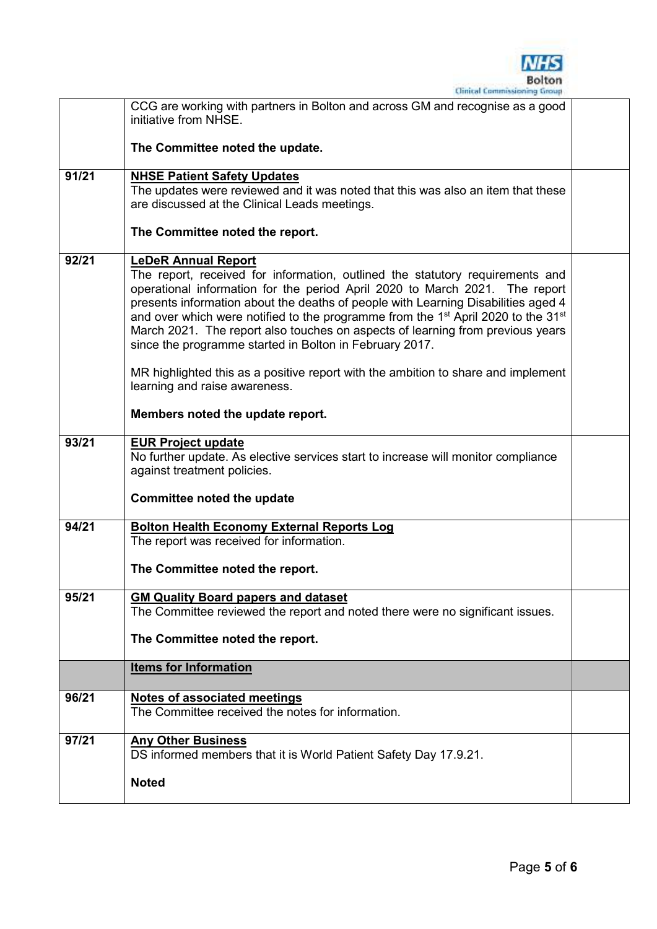

|       | CCG are working with partners in Bolton and across GM and recognise as a good<br>initiative from NHSE.                                                                                                                                                                                                                                                                                                                                                                                                                                                                                                                                                          |  |
|-------|-----------------------------------------------------------------------------------------------------------------------------------------------------------------------------------------------------------------------------------------------------------------------------------------------------------------------------------------------------------------------------------------------------------------------------------------------------------------------------------------------------------------------------------------------------------------------------------------------------------------------------------------------------------------|--|
|       | The Committee noted the update.                                                                                                                                                                                                                                                                                                                                                                                                                                                                                                                                                                                                                                 |  |
| 91/21 | <b>NHSE Patient Safety Updates</b><br>The updates were reviewed and it was noted that this was also an item that these<br>are discussed at the Clinical Leads meetings.                                                                                                                                                                                                                                                                                                                                                                                                                                                                                         |  |
|       | The Committee noted the report.                                                                                                                                                                                                                                                                                                                                                                                                                                                                                                                                                                                                                                 |  |
| 92/21 | <b>LeDeR Annual Report</b><br>The report, received for information, outlined the statutory requirements and<br>operational information for the period April 2020 to March 2021. The report<br>presents information about the deaths of people with Learning Disabilities aged 4<br>and over which were notified to the programme from the 1 <sup>st</sup> April 2020 to the 31 <sup>st</sup><br>March 2021. The report also touches on aspects of learning from previous years<br>since the programme started in Bolton in February 2017.<br>MR highlighted this as a positive report with the ambition to share and implement<br>learning and raise awareness. |  |
|       | Members noted the update report.                                                                                                                                                                                                                                                                                                                                                                                                                                                                                                                                                                                                                                |  |
| 93/21 | <b>EUR Project update</b><br>No further update. As elective services start to increase will monitor compliance<br>against treatment policies.                                                                                                                                                                                                                                                                                                                                                                                                                                                                                                                   |  |
|       | Committee noted the update                                                                                                                                                                                                                                                                                                                                                                                                                                                                                                                                                                                                                                      |  |
| 94/21 | <b>Bolton Health Economy External Reports Log</b><br>The report was received for information.<br>The Committee noted the report.                                                                                                                                                                                                                                                                                                                                                                                                                                                                                                                                |  |
| 95/21 | <b>GM Quality Board papers and dataset</b>                                                                                                                                                                                                                                                                                                                                                                                                                                                                                                                                                                                                                      |  |
|       | The Committee reviewed the report and noted there were no significant issues.<br>The Committee noted the report.                                                                                                                                                                                                                                                                                                                                                                                                                                                                                                                                                |  |
|       | <b>Items for Information</b>                                                                                                                                                                                                                                                                                                                                                                                                                                                                                                                                                                                                                                    |  |
| 96/21 | <b>Notes of associated meetings</b><br>The Committee received the notes for information.                                                                                                                                                                                                                                                                                                                                                                                                                                                                                                                                                                        |  |
| 97/21 | <b>Any Other Business</b><br>DS informed members that it is World Patient Safety Day 17.9.21.<br><b>Noted</b>                                                                                                                                                                                                                                                                                                                                                                                                                                                                                                                                                   |  |
|       |                                                                                                                                                                                                                                                                                                                                                                                                                                                                                                                                                                                                                                                                 |  |